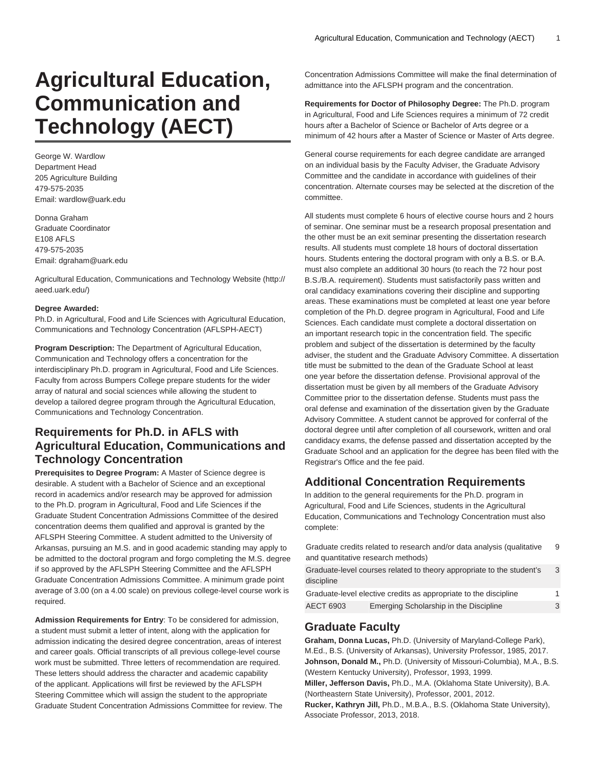# **Agricultural Education, Communication and Technology (AECT)**

George W. Wardlow Department Head 205 Agriculture Building 479-575-2035 Email: wardlow@uark.edu

Donna Graham Graduate Coordinator E108 AFLS 479-575-2035 Email: dgraham@uark.edu

[Agricultural Education, Communications and Technology Website](http://aeed.uark.edu/) ([http://](http://aeed.uark.edu/) [aeed.uark.edu/](http://aeed.uark.edu/))

# **Degree Awarded:**

Ph.D. in Agricultural, Food and Life Sciences with Agricultural Education, Communications and Technology Concentration (AFLSPH-AECT)

**Program Description:** The Department of Agricultural Education, Communication and Technology offers a concentration for the interdisciplinary Ph.D. program in Agricultural, Food and Life Sciences. Faculty from across Bumpers College prepare students for the wider array of natural and social sciences while allowing the student to develop a tailored degree program through the Agricultural Education, Communications and Technology Concentration.

# **Requirements for Ph.D. in AFLS with Agricultural Education, Communications and Technology Concentration**

**Prerequisites to Degree Program:** A Master of Science degree is desirable. A student with a Bachelor of Science and an exceptional record in academics and/or research may be approved for admission to the Ph.D. program in Agricultural, Food and Life Sciences if the Graduate Student Concentration Admissions Committee of the desired concentration deems them qualified and approval is granted by the AFLSPH Steering Committee. A student admitted to the University of Arkansas, pursuing an M.S. and in good academic standing may apply to be admitted to the doctoral program and forgo completing the M.S. degree if so approved by the AFLSPH Steering Committee and the AFLSPH Graduate Concentration Admissions Committee. A minimum grade point average of 3.00 (on a 4.00 scale) on previous college-level course work is required.

**Admission Requirements for Entry**: To be considered for admission, a student must submit a letter of intent, along with the application for admission indicating the desired degree concentration, areas of interest and career goals. Official transcripts of all previous college-level course work must be submitted. Three letters of recommendation are required. These letters should address the character and academic capability of the applicant. Applications will first be reviewed by the AFLSPH Steering Committee which will assign the student to the appropriate Graduate Student Concentration Admissions Committee for review. The Concentration Admissions Committee will make the final determination of admittance into the AFLSPH program and the concentration.

**Requirements for Doctor of Philosophy Degree:** The Ph.D. program in Agricultural, Food and Life Sciences requires a minimum of 72 credit hours after a Bachelor of Science or Bachelor of Arts degree or a minimum of 42 hours after a Master of Science or Master of Arts degree.

General course requirements for each degree candidate are arranged on an individual basis by the Faculty Adviser, the Graduate Advisory Committee and the candidate in accordance with guidelines of their concentration. Alternate courses may be selected at the discretion of the committee.

All students must complete 6 hours of elective course hours and 2 hours of seminar. One seminar must be a research proposal presentation and the other must be an exit seminar presenting the dissertation research results. All students must complete 18 hours of doctoral dissertation hours. Students entering the doctoral program with only a B.S. or B.A. must also complete an additional 30 hours (to reach the 72 hour post B.S./B.A. requirement). Students must satisfactorily pass written and oral candidacy examinations covering their discipline and supporting areas. These examinations must be completed at least one year before completion of the Ph.D. degree program in Agricultural, Food and Life Sciences. Each candidate must complete a doctoral dissertation on an important research topic in the concentration field. The specific problem and subject of the dissertation is determined by the faculty adviser, the student and the Graduate Advisory Committee. A dissertation title must be submitted to the dean of the Graduate School at least one year before the dissertation defense. Provisional approval of the dissertation must be given by all members of the Graduate Advisory Committee prior to the dissertation defense. Students must pass the oral defense and examination of the dissertation given by the Graduate Advisory Committee. A student cannot be approved for conferral of the doctoral degree until after completion of all coursework, written and oral candidacy exams, the defense passed and dissertation accepted by the Graduate School and an application for the degree has been filed with the Registrar's Office and the fee paid.

# **Additional Concentration Requirements**

In addition to the general requirements for the Ph.D. program in Agricultural, Food and Life Sciences, students in the Agricultural Education, Communications and Technology Concentration must also complete:

| Graduate credits related to research and/or data analysis (qualitative |                                                                       | 9  |
|------------------------------------------------------------------------|-----------------------------------------------------------------------|----|
|                                                                        | and quantitative research methods)                                    |    |
| discipline                                                             | Graduate-level courses related to theory appropriate to the student's | 3  |
| Graduate-level elective credits as appropriate to the discipline       |                                                                       | 1. |
| AECT 6903                                                              | Emerging Scholarship in the Discipline                                | 3  |

# **Graduate Faculty**

**Graham, Donna Lucas,** Ph.D. (University of Maryland-College Park), M.Ed., B.S. (University of Arkansas), University Professor, 1985, 2017. **Johnson, Donald M.,** Ph.D. (University of Missouri-Columbia), M.A., B.S. (Western Kentucky University), Professor, 1993, 1999. **Miller, Jefferson Davis,** Ph.D., M.A. (Oklahoma State University), B.A.

(Northeastern State University), Professor, 2001, 2012.

**Rucker, Kathryn Jill,** Ph.D., M.B.A., B.S. (Oklahoma State University), Associate Professor, 2013, 2018.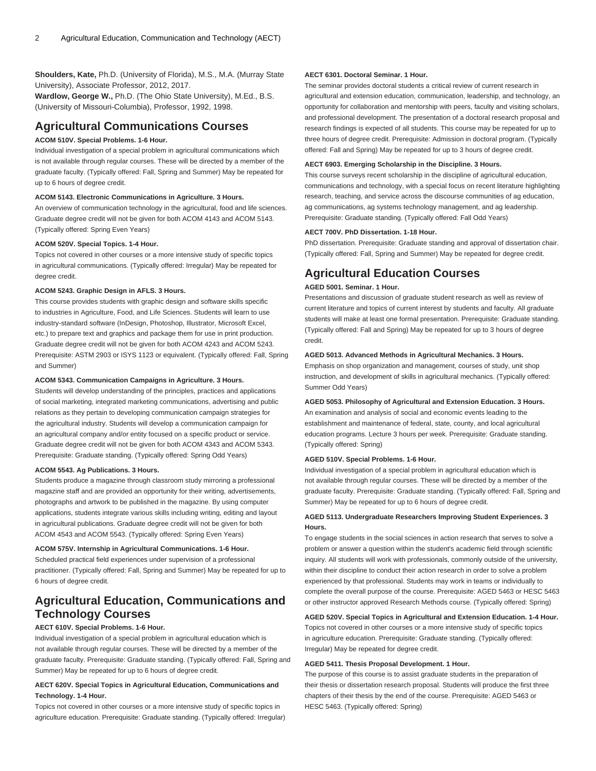**Shoulders, Kate,** Ph.D. (University of Florida), M.S., M.A. (Murray State University), Associate Professor, 2012, 2017.

**Wardlow, George W.,** Ph.D. (The Ohio State University), M.Ed., B.S. (University of Missouri-Columbia), Professor, 1992, 1998.

# **Agricultural Communications Courses**

# **ACOM 510V. Special Problems. 1-6 Hour.**

Individual investigation of a special problem in agricultural communications which is not available through regular courses. These will be directed by a member of the graduate faculty. (Typically offered: Fall, Spring and Summer) May be repeated for up to 6 hours of degree credit.

### **ACOM 5143. Electronic Communications in Agriculture. 3 Hours.**

An overview of communication technology in the agricultural, food and life sciences. Graduate degree credit will not be given for both [ACOM 4143](/search/?P=ACOM%204143) and [ACOM 5143.](/search/?P=ACOM%205143) (Typically offered: Spring Even Years)

#### **ACOM 520V. Special Topics. 1-4 Hour.**

Topics not covered in other courses or a more intensive study of specific topics in agricultural communications. (Typically offered: Irregular) May be repeated for degree credit.

## **ACOM 5243. Graphic Design in AFLS. 3 Hours.**

This course provides students with graphic design and software skills specific to industries in Agriculture, Food, and Life Sciences. Students will learn to use industry-standard software (InDesign, Photoshop, Illustrator, Microsoft Excel, etc.) to prepare text and graphics and package them for use in print production. Graduate degree credit will not be given for both [ACOM 4243](/search/?P=ACOM%204243) and [ACOM 5243.](/search/?P=ACOM%205243) Prerequisite: [ASTM 2903](/search/?P=ASTM%202903) or [ISYS 1123](/search/?P=ISYS%201123) or equivalent. (Typically offered: Fall, Spring and Summer)

# **ACOM 5343. Communication Campaigns in Agriculture. 3 Hours.**

Students will develop understanding of the principles, practices and applications of social marketing, integrated marketing communications, advertising and public relations as they pertain to developing communication campaign strategies for the agricultural industry. Students will develop a communication campaign for an agricultural company and/or entity focused on a specific product or service. Graduate degree credit will not be given for both [ACOM 4343](/search/?P=ACOM%204343) and [ACOM 5343.](/search/?P=ACOM%205343) Prerequisite: Graduate standing. (Typically offered: Spring Odd Years)

#### **ACOM 5543. Ag Publications. 3 Hours.**

Students produce a magazine through classroom study mirroring a professional magazine staff and are provided an opportunity for their writing, advertisements, photographs and artwork to be published in the magazine. By using computer applications, students integrate various skills including writing, editing and layout in agricultural publications. Graduate degree credit will not be given for both [ACOM 4543](/search/?P=ACOM%204543) and [ACOM 5543.](/search/?P=ACOM%205543) (Typically offered: Spring Even Years)

#### **ACOM 575V. Internship in Agricultural Communications. 1-6 Hour.**

Scheduled practical field experiences under supervision of a professional practitioner. (Typically offered: Fall, Spring and Summer) May be repeated for up to 6 hours of degree credit.

# **Agricultural Education, Communications and Technology Courses**

# **AECT 610V. Special Problems. 1-6 Hour.**

Individual investigation of a special problem in agricultural education which is not available through regular courses. These will be directed by a member of the graduate faculty. Prerequisite: Graduate standing. (Typically offered: Fall, Spring and Summer) May be repeated for up to 6 hours of degree credit.

# **AECT 620V. Special Topics in Agricultural Education, Communications and Technology. 1-4 Hour.**

Topics not covered in other courses or a more intensive study of specific topics in agriculture education. Prerequisite: Graduate standing. (Typically offered: Irregular)

#### **AECT 6301. Doctoral Seminar. 1 Hour.**

The seminar provides doctoral students a critical review of current research in agricultural and extension education, communication, leadership, and technology, an opportunity for collaboration and mentorship with peers, faculty and visiting scholars, and professional development. The presentation of a doctoral research proposal and research findings is expected of all students. This course may be repeated for up to three hours of degree credit. Prerequisite: Admission in doctoral program. (Typically offered: Fall and Spring) May be repeated for up to 3 hours of degree credit.

#### **AECT 6903. Emerging Scholarship in the Discipline. 3 Hours.**

This course surveys recent scholarship in the discipline of agricultural education, communications and technology, with a special focus on recent literature highlighting research, teaching, and service across the discourse communities of ag education, ag communications, ag systems technology management, and ag leadership. Prerequisite: Graduate standing. (Typically offered: Fall Odd Years)

### **AECT 700V. PhD Dissertation. 1-18 Hour.**

PhD dissertation. Prerequisite: Graduate standing and approval of dissertation chair. (Typically offered: Fall, Spring and Summer) May be repeated for degree credit.

# **Agricultural Education Courses**

# **AGED 5001. Seminar. 1 Hour.**

Presentations and discussion of graduate student research as well as review of current literature and topics of current interest by students and faculty. All graduate students will make at least one formal presentation. Prerequisite: Graduate standing. (Typically offered: Fall and Spring) May be repeated for up to 3 hours of degree credit.

#### **AGED 5013. Advanced Methods in Agricultural Mechanics. 3 Hours.**

Emphasis on shop organization and management, courses of study, unit shop instruction, and development of skills in agricultural mechanics. (Typically offered: Summer Odd Years)

# **AGED 5053. Philosophy of Agricultural and Extension Education. 3 Hours.**

An examination and analysis of social and economic events leading to the establishment and maintenance of federal, state, county, and local agricultural education programs. Lecture 3 hours per week. Prerequisite: Graduate standing. (Typically offered: Spring)

#### **AGED 510V. Special Problems. 1-6 Hour.**

Individual investigation of a special problem in agricultural education which is not available through regular courses. These will be directed by a member of the graduate faculty. Prerequisite: Graduate standing. (Typically offered: Fall, Spring and Summer) May be repeated for up to 6 hours of degree credit.

# **AGED 5113. Undergraduate Researchers Improving Student Experiences. 3 Hours.**

To engage students in the social sciences in action research that serves to solve a problem or answer a question within the student's academic field through scientific inquiry. All students will work with professionals, commonly outside of the university, within their discipline to conduct their action research in order to solve a problem experienced by that professional. Students may work in teams or individually to complete the overall purpose of the course. Prerequisite: [AGED 5463](/search/?P=AGED%205463) or [HESC 5463](/search/?P=HESC%205463) or other instructor approved Research Methods course. (Typically offered: Spring)

#### **AGED 520V. Special Topics in Agricultural and Extension Education. 1-4 Hour.**

Topics not covered in other courses or a more intensive study of specific topics in agriculture education. Prerequisite: Graduate standing. (Typically offered: Irregular) May be repeated for degree credit.

#### **AGED 5411. Thesis Proposal Development. 1 Hour.**

The purpose of this course is to assist graduate students in the preparation of their thesis or dissertation research proposal. Students will produce the first three chapters of their thesis by the end of the course. Prerequisite: [AGED 5463](/search/?P=AGED%205463) or [HESC 5463](/search/?P=HESC%205463). (Typically offered: Spring)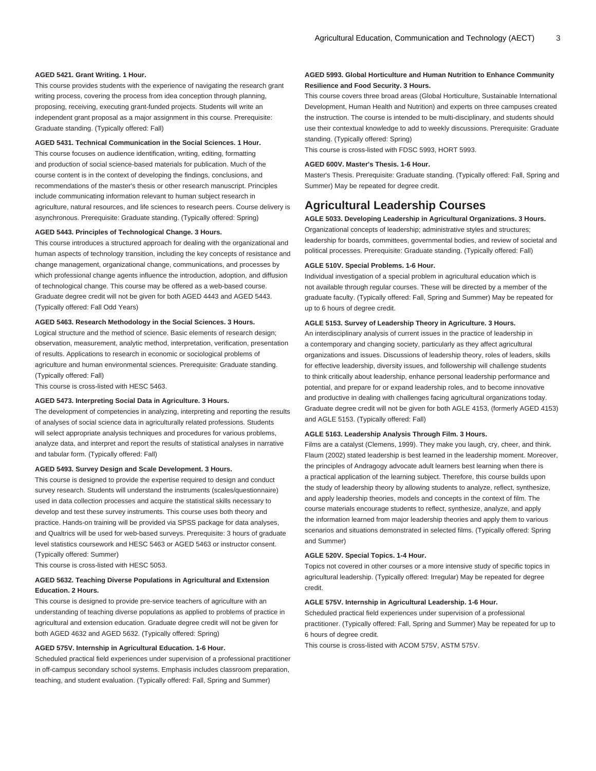#### **AGED 5421. Grant Writing. 1 Hour.**

This course provides students with the experience of navigating the research grant writing process, covering the process from idea conception through planning, proposing, receiving, executing grant-funded projects. Students will write an independent grant proposal as a major assignment in this course. Prerequisite: Graduate standing. (Typically offered: Fall)

#### **AGED 5431. Technical Communication in the Social Sciences. 1 Hour.**

This course focuses on audience identification, writing, editing, formatting and production of social science-based materials for publication. Much of the course content is in the context of developing the findings, conclusions, and recommendations of the master's thesis or other research manuscript. Principles include communicating information relevant to human subject research in agriculture, natural resources, and life sciences to research peers. Course delivery is asynchronous. Prerequisite: Graduate standing. (Typically offered: Spring)

#### **AGED 5443. Principles of Technological Change. 3 Hours.**

This course introduces a structured approach for dealing with the organizational and human aspects of technology transition, including the key concepts of resistance and change management, organizational change, communications, and processes by which professional change agents influence the introduction, adoption, and diffusion of technological change. This course may be offered as a web-based course. Graduate degree credit will not be given for both [AGED 4443](/search/?P=AGED%204443) and [AGED 5443.](/search/?P=AGED%205443) (Typically offered: Fall Odd Years)

### **AGED 5463. Research Methodology in the Social Sciences. 3 Hours.**

Logical structure and the method of science. Basic elements of research design; observation, measurement, analytic method, interpretation, verification, presentation of results. Applications to research in economic or sociological problems of agriculture and human environmental sciences. Prerequisite: Graduate standing. (Typically offered: Fall)

This course is cross-listed with [HESC 5463.](/search/?P=HESC%205463)

#### **AGED 5473. Interpreting Social Data in Agriculture. 3 Hours.**

The development of competencies in analyzing, interpreting and reporting the results of analyses of social science data in agriculturally related professions. Students will select appropriate analysis techniques and procedures for various problems, analyze data, and interpret and report the results of statistical analyses in narrative and tabular form. (Typically offered: Fall)

#### **AGED 5493. Survey Design and Scale Development. 3 Hours.**

This course is designed to provide the expertise required to design and conduct survey research. Students will understand the instruments (scales/questionnaire) used in data collection processes and acquire the statistical skills necessary to develop and test these survey instruments. This course uses both theory and practice. Hands-on training will be provided via SPSS package for data analyses, and Qualtrics will be used for web-based surveys. Prerequisite: 3 hours of graduate level statistics coursework and [HESC 5463](/search/?P=HESC%205463) or [AGED 5463](/search/?P=AGED%205463) or instructor consent. (Typically offered: Summer)

This course is cross-listed with [HESC 5053.](/search/?P=HESC%205053)

#### **AGED 5632. Teaching Diverse Populations in Agricultural and Extension Education. 2 Hours.**

This course is designed to provide pre-service teachers of agriculture with an understanding of teaching diverse populations as applied to problems of practice in agricultural and extension education. Graduate degree credit will not be given for both [AGED 4632](/search/?P=AGED%204632) and [AGED 5632.](/search/?P=AGED%205632) (Typically offered: Spring)

### **AGED 575V. Internship in Agricultural Education. 1-6 Hour.**

Scheduled practical field experiences under supervision of a professional practitioner in off-campus secondary school systems. Emphasis includes classroom preparation, teaching, and student evaluation. (Typically offered: Fall, Spring and Summer)

## **AGED 5993. Global Horticulture and Human Nutrition to Enhance Community Resilience and Food Security. 3 Hours.**

This course covers three broad areas (Global Horticulture, Sustainable International Development, Human Health and Nutrition) and experts on three campuses created the instruction. The course is intended to be multi-disciplinary, and students should use their contextual knowledge to add to weekly discussions. Prerequisite: Graduate standing. (Typically offered: Spring)

This course is cross-listed with [FDSC 5993,](/search/?P=FDSC%205993) [HORT 5993.](/search/?P=HORT%205993)

#### **AGED 600V. Master's Thesis. 1-6 Hour.**

Master's Thesis. Prerequisite: Graduate standing. (Typically offered: Fall, Spring and Summer) May be repeated for degree credit.

# **Agricultural Leadership Courses**

**AGLE 5033. Developing Leadership in Agricultural Organizations. 3 Hours.** Organizational concepts of leadership; administrative styles and structures; leadership for boards, committees, governmental bodies, and review of societal and political processes. Prerequisite: Graduate standing. (Typically offered: Fall)

#### **AGLE 510V. Special Problems. 1-6 Hour.**

Individual investigation of a special problem in agricultural education which is not available through regular courses. These will be directed by a member of the graduate faculty. (Typically offered: Fall, Spring and Summer) May be repeated for up to 6 hours of degree credit.

#### **AGLE 5153. Survey of Leadership Theory in Agriculture. 3 Hours.**

An interdisciplinary analysis of current issues in the practice of leadership in a contemporary and changing society, particularly as they affect agricultural organizations and issues. Discussions of leadership theory, roles of leaders, skills for effective leadership, diversity issues, and followership will challenge students to think critically about leadership, enhance personal leadership performance and potential, and prepare for or expand leadership roles, and to become innovative and productive in dealing with challenges facing agricultural organizations today. Graduate degree credit will not be given for both [AGLE 4153,](/search/?P=AGLE%204153) (formerly AGED 4153) and [AGLE 5153](/search/?P=AGLE%205153). (Typically offered: Fall)

# **AGLE 5163. Leadership Analysis Through Film. 3 Hours.**

Films are a catalyst (Clemens, 1999). They make you laugh, cry, cheer, and think. Flaum (2002) stated leadership is best learned in the leadership moment. Moreover, the principles of Andragogy advocate adult learners best learning when there is a practical application of the learning subject. Therefore, this course builds upon the study of leadership theory by allowing students to analyze, reflect, synthesize, and apply leadership theories, models and concepts in the context of film. The course materials encourage students to reflect, synthesize, analyze, and apply the information learned from major leadership theories and apply them to various scenarios and situations demonstrated in selected films. (Typically offered: Spring and Summer)

### **AGLE 520V. Special Topics. 1-4 Hour.**

Topics not covered in other courses or a more intensive study of specific topics in agricultural leadership. (Typically offered: Irregular) May be repeated for degree credit.

#### **AGLE 575V. Internship in Agricultural Leadership. 1-6 Hour.**

Scheduled practical field experiences under supervision of a professional practitioner. (Typically offered: Fall, Spring and Summer) May be repeated for up to 6 hours of degree credit.

This course is cross-listed with [ACOM 575V](/search/?P=ACOM%20575V), [ASTM 575V.](/search/?P=ASTM%20575V)